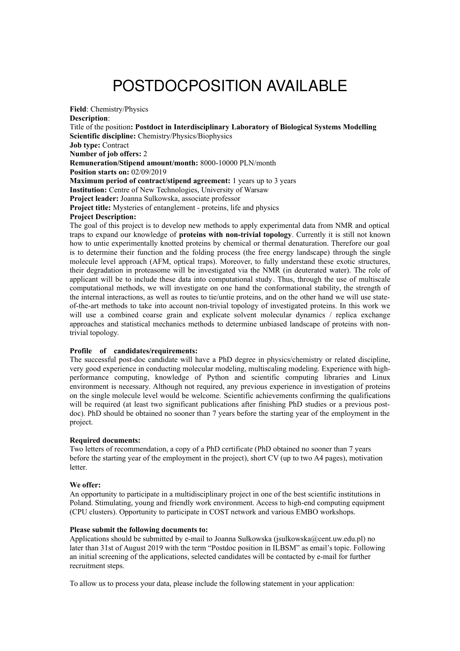# POSTDOCPOSITION AVAILABLE

**Field**: Chemistry/Physics **Description**: Title of the position**: Postdoct in Interdisciplinary Laboratory of Biological Systems Modelling Scientific discipline:** Chemistry/Physics/Biophysics **Job type:** Contract **Number of job offers:** 2 **Remuneration/Stipend amount/month:** 8000-10000 PLN/month **Position starts on:** 02/09/2019 **Maximum period of contract/stipend agreement:** 1 years up to 3 years **Institution:** Centre of New Technologies, University of Warsaw **Project leader:** Joanna Sulkowska, associate professor **Project title:** Mysteries of entanglement - proteins, life and physics **Project Description:**

The goal of this project is to develop new methods to apply experimental data from NMR and optical traps to expand our knowledge of **proteins with non-trivial topology**. Currently it is still not known how to untie experimentally knotted proteins by chemical or thermal denaturation. Therefore our goal is to determine their function and the folding process (the free energy landscape) through the single molecule level approach (AFM, optical traps). Moreover, to fully understand these exotic structures, their degradation in proteasome will be investigated via the NMR (in deuterated water). The role of applicant will be to include these data into computational study. Thus, through the use of multiscale computational methods, we will investigate on one hand the conformational stability, the strength of the internal interactions, as well as routes to tie/untie proteins, and on the other hand we will use stateof-the-art methods to take into account non-trivial topology of investigated proteins. In this work we will use a combined coarse grain and explicate solvent molecular dynamics / replica exchange approaches and statistical mechanics methods to determine unbiased landscape of proteins with nontrivial topology.

### **Profile of candidates/requirements:**

The successful post-doc candidate will have a PhD degree in physics/chemistry or related discipline, very good experience in conducting molecular modeling, multiscaling modeling. Experience with highperformance computing, knowledge of Python and scientific computing libraries and Linux environment is necessary. Although not required, any previous experience in investigation of proteins on the single molecule level would be welcome. Scientific achievements confirming the qualifications will be required (at least two significant publications after finishing PhD studies or a previous postdoc). PhD should be obtained no sooner than 7 years before the starting year of the employment in the project.

#### **Required documents:**

Two letters of recommendation, a copy of a PhD certificate (PhD obtained no sooner than 7 years before the starting year of the employment in the project), short CV (up to two A4 pages), motivation letter.

#### **We offer:**

An opportunity to participate in a multidisciplinary project in one of the best scientific institutions in Poland. Stimulating, young and friendly work environment. Access to high-end computing equipment (CPU clusters). Opportunity to participate in COST network and various EMBO workshops.

## **Please submit the following documents to:**

Applications should be submitted by e-mail to Joanna Sułkowska (jsulkowska@cent.uw.edu.pl) no later than 31st of August 2019 with the term "Postdoc position in ILBSM" as email's topic. Following an initial screening of the applications, selected candidates will be contacted by e-mail for further recruitment steps.

To allow us to process your data, please include the following statement in your application: